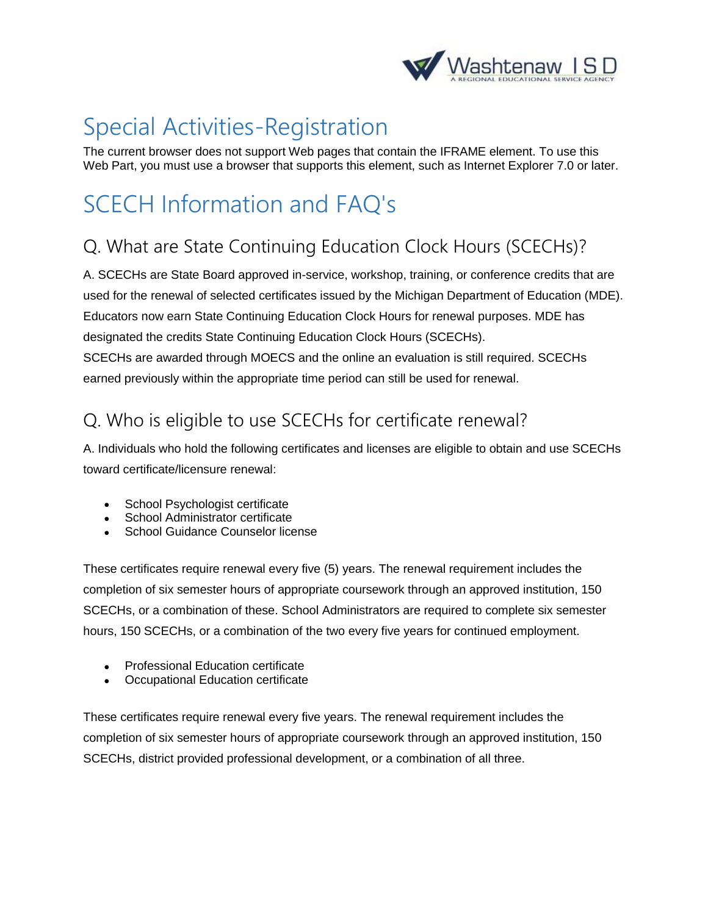

## Special Activities-Registration

The current browser does not support Web pages that contain the IFRAME element. To use this Web Part, you must use a browser that supports this element, such as Internet Explorer 7.0 or later.

# SCECH Information and FAQ's

### Q. What are State Continuing Education Clock Hours (SCECHs)?

A. SCECHs are State Board approved in-service, workshop, training, or conference credits that are used for the renewal of selected certificates issued by the Michigan Department of Education (MDE). Educators now earn State Continuing Education Clock Hours for renewal purposes. MDE has designated the credits State Continuing Education Clock Hours (SCECHs). SCECHs are awarded through MOECS and the online an evaluation is still required. SCECHs earned previously within the appropriate time period can still be used for renewal.

### Q. Who is eligible to use SCECHs for certificate renewal?

A. Individuals who hold the following certificates and licenses are eligible to obtain and use SCECHs toward certificate/licensure renewal:

- School Psychologist certificate
- School Administrator certificate
- School Guidance Counselor license

These certificates require renewal every five (5) years. The renewal requirement includes the completion of six semester hours of appropriate coursework through an approved institution, 150 SCECHs, or a combination of these. School Administrators are required to complete six semester hours, 150 SCECHs, or a combination of the two every five years for continued employment.

- Professional Education certificate
- Occupational Education certificate

These certificates require renewal every five years. The renewal requirement includes the completion of six semester hours of appropriate coursework through an approved institution, 150 SCECHs, district provided professional development, or a combination of all three.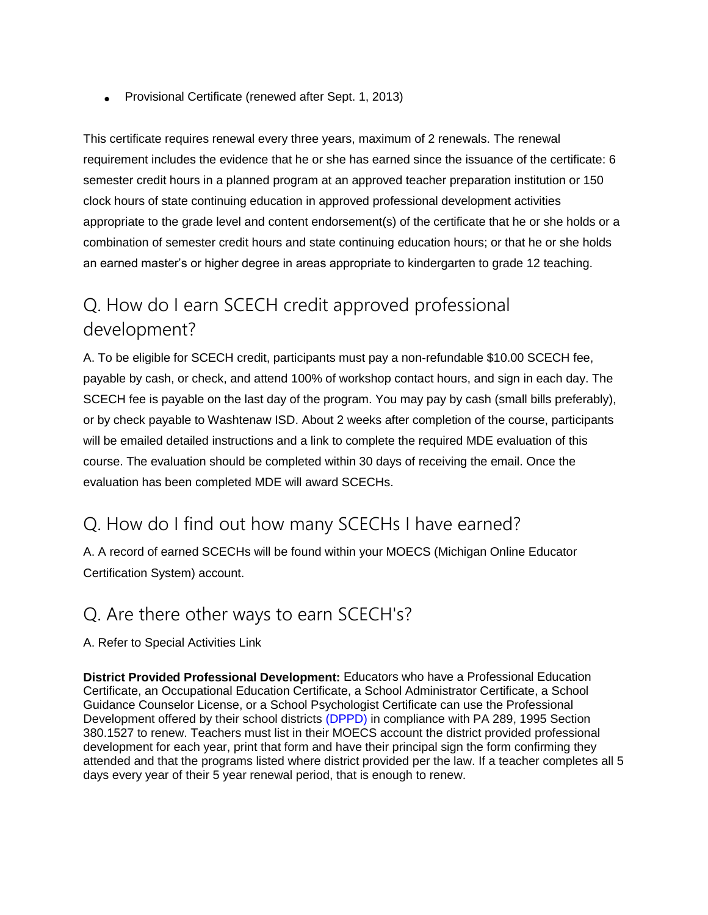• Provisional Certificate (renewed after Sept. 1, 2013)

This certificate requires renewal every three years, maximum of 2 renewals. The renewal requirement includes the evidence that he or she has earned since the issuance of the certificate: 6 semester credit hours in a planned program at an approved teacher preparation institution or 150 clock hours of state continuing education in approved professional development activities appropriate to the grade level and content endorsement(s) of the certificate that he or she holds or a combination of semester credit hours and state continuing education hours; or that he or she holds an earned master's or higher degree in areas appropriate to kindergarten to grade 12 teaching.

#### Q. How do I earn SCECH credit approved professional development?

A. To be eligible for SCECH credit, participants must pay a non-refundable \$10.00 SCECH fee, payable by cash, or check, and attend 100% of workshop contact hours, and sign in each day. The SCECH fee is payable on the last day of the program. You may pay by cash (small bills preferably), or by check payable to Washtenaw ISD. About 2 weeks after completion of the course, participants will be emailed detailed instructions and a link to complete the required MDE evaluation of this course. The evaluation should be completed within 30 days of receiving the email. Once the evaluation has been completed MDE will award SCECHs.

#### Q. How do I find out how many SCECHs I have earned?

A. A record of earned SCECHs will be found within your MOECS (Michigan Online Educator Certification System) account.

#### Q. Are there other ways to earn SCECH's?

A. Refer to Special Activities Link

**District Provided Professional Development:** Educators who have a Professional Education Certificate, an Occupational Education Certificate, a School Administrator Certificate, a School Guidance Counselor License, or a School Psychologist Certificate can use the Professional Development offered by their school districts [\(DPPD\)](http://reg.abcsignup.com/view/view_month.aspx?as=50&wp=380&aid=WISD) in compliance with PA 289, 1995 Section 380.1527 to renew. Teachers must list in their MOECS account the district provided professional development for each year, print that form and have their principal sign the form confirming they attended and that the programs listed where district provided per the law. If a teacher completes all 5 days every year of their 5 year renewal period, that is enough to renew.